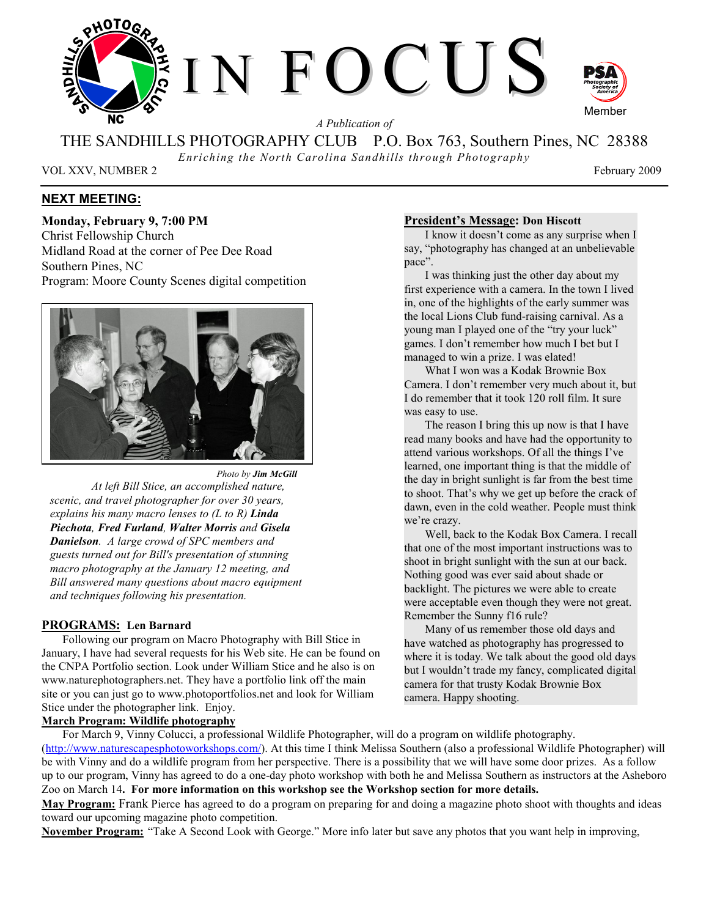

THE SANDHILLS PHOTOGRAPHY CLUB P.O. Box 763, Southern Pines, NC 28388

*Enriching the North Carolina Sandhills through Photography* 

VOL XXV, NUMBER 2 February 2009

## **NEXT MEETING:**

**Monday, February 9, 7:00 PM**  Christ Fellowship Church Midland Road at the corner of Pee Dee Road Southern Pines, NC Program: Moore County Scenes digital competition



*Photo by Jim McGill At left Bill Stice, an accomplished nature, scenic, and travel photographer for over 30 years, explains his many macro lenses to (L to R) Linda Piechota, Fred Furland, Walter Morris and Gisela Danielson. A large crowd of SPC members and guests turned out for Bill's presentation of stunning macro photography at the January 12 meeting, and Bill answered many questions about macro equipment and techniques following his presentation.*

## **PROGRAMS: Len Barnard**

Following our program on Macro Photography with Bill Stice in January, I have had several requests for his Web site. He can be found on the CNPA Portfolio section. Look under William Stice and he also is on www.naturephotographers.net. They have a portfolio link off the main site or you can just go to www.photoportfolios.net and look for William Stice under the photographer link. Enjoy.

## **March Program: Wildlife photography**

## **President's Message: Don Hiscott**

I know it doesn't come as any surprise when I say, "photography has changed at an unbelievable pace".

 I was thinking just the other day about my first experience with a camera. In the town I lived in, one of the highlights of the early summer was the local Lions Club fund-raising carnival. As a young man I played one of the "try your luck" games. I don't remember how much I bet but I managed to win a prize. I was elated!

 What I won was a Kodak Brownie Box Camera. I don't remember very much about it, but I do remember that it took 120 roll film. It sure was easy to use.

 The reason I bring this up now is that I have read many books and have had the opportunity to attend various workshops. Of all the things I've learned, one important thing is that the middle of the day in bright sunlight is far from the best time to shoot. That's why we get up before the crack of dawn, even in the cold weather. People must think we're crazy.

Well, back to the Kodak Box Camera. I recall that one of the most important instructions was to shoot in bright sunlight with the sun at our back. Nothing good was ever said about shade or backlight. The pictures we were able to create were acceptable even though they were not great. Remember the Sunny f16 rule?

Many of us remember those old days and have watched as photography has progressed to where it is today. We talk about the good old days but I wouldn't trade my fancy, complicated digital camera for that trusty Kodak Brownie Box camera. Happy shooting.

For March 9, Vinny Colucci, a professional Wildlife Photographer, will do a program on wildlife photography. (http://www.naturescapesphotoworkshops.com/). At this time I think Melissa Southern (also a professional Wildlife Photographer) will be with Vinny and do a wildlife program from her perspective. There is a possibility that we will have some door prizes. As a follow up to our program, Vinny has agreed to do a one-day photo workshop with both he and Melissa Southern as instructors at the Asheboro Zoo on March 14**. For more information on this workshop see the Workshop section for more details.** 

**May Program:** Frank Pierce has agreed to do a program on preparing for and doing a magazine photo shoot with thoughts and ideas toward our upcoming magazine photo competition.

**November Program:** "Take A Second Look with George." More info later but save any photos that you want help in improving,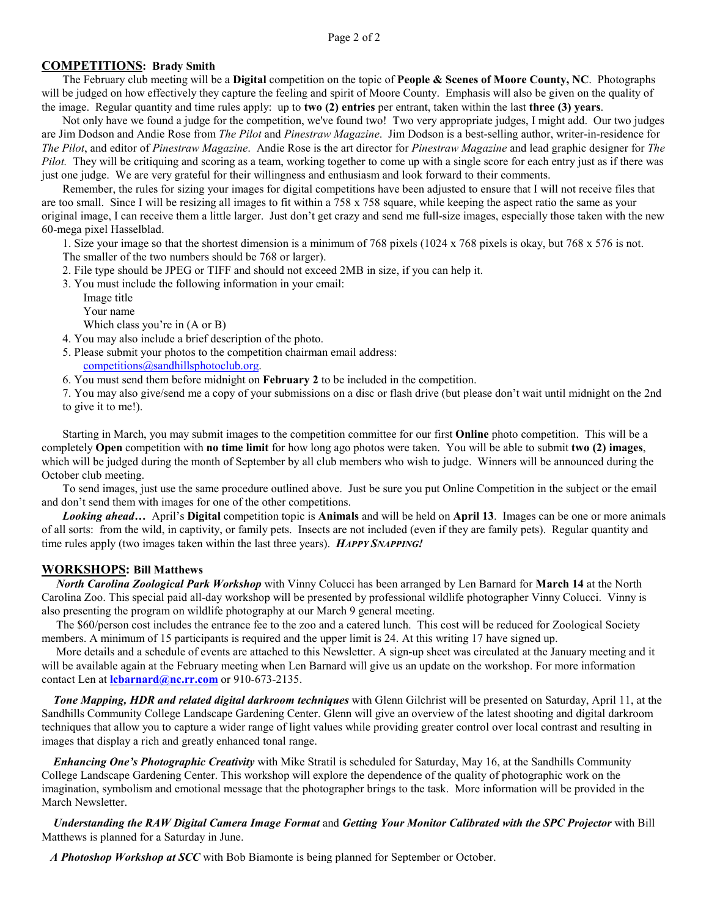## **COMPETITIONS: Brady Smith**

The February club meeting will be a **Digital** competition on the topic of **People & Scenes of Moore County, NC**. Photographs will be judged on how effectively they capture the feeling and spirit of Moore County. Emphasis will also be given on the quality of the image. Regular quantity and time rules apply: up to **two (2) entries** per entrant, taken within the last **three (3) years**.

Not only have we found a judge for the competition, we've found two! Two very appropriate judges, I might add. Our two judges are Jim Dodson and Andie Rose from *The Pilot* and *Pinestraw Magazine*. Jim Dodson is a best-selling author, writer-in-residence for *The Pilot*, and editor of *Pinestraw Magazine*. Andie Rose is the art director for *Pinestraw Magazine* and lead graphic designer for *The Pilot.* They will be critiquing and scoring as a team, working together to come up with a single score for each entry just as if there was just one judge. We are very grateful for their willingness and enthusiasm and look forward to their comments.

Remember, the rules for sizing your images for digital competitions have been adjusted to ensure that I will not receive files that are too small. Since I will be resizing all images to fit within a 758 x 758 square, while keeping the aspect ratio the same as your original image, I can receive them a little larger. Just don't get crazy and send me full-size images, especially those taken with the new 60-mega pixel Hasselblad.

1. Size your image so that the shortest dimension is a minimum of 768 pixels (1024 x 768 pixels is okay, but 768 x 576 is not. The smaller of the two numbers should be 768 or larger).

- 2. File type should be JPEG or TIFF and should not exceed 2MB in size, if you can help it.
- 3. You must include the following information in your email:
	- Image title
		- Your name

Which class you're in (A or B)

- 4. You may also include a brief description of the photo.
- 5. Please submit your photos to the competition chairman email address:
	- competitions@sandhillsphotoclub.org.
- 6. You must send them before midnight on **February 2** to be included in the competition.

7. You may also give/send me a copy of your submissions on a disc or flash drive (but please don't wait until midnight on the 2nd to give it to me!).

Starting in March, you may submit images to the competition committee for our first **Online** photo competition. This will be a completely **Open** competition with **no time limit** for how long ago photos were taken. You will be able to submit **two (2) images**, which will be judged during the month of September by all club members who wish to judge. Winners will be announced during the October club meeting.

To send images, just use the same procedure outlined above. Just be sure you put Online Competition in the subject or the email and don't send them with images for one of the other competitions.

*Looking ahead…* April's **Digital** competition topic is **Animals** and will be held on **April 13**. Images can be one or more animals of all sorts: from the wild, in captivity, or family pets. Insects are not included (even if they are family pets). Regular quantity and time rules apply (two images taken within the last three years). *HAPPY SNAPPING!* 

## **WORKSHOPS: Bill Matthews**

 *North Carolina Zoological Park Workshop* with Vinny Colucci has been arranged by Len Barnard for **March 14** at the North Carolina Zoo. This special paid all-day workshop will be presented by professional wildlife photographer Vinny Colucci. Vinny is also presenting the program on wildlife photography at our March 9 general meeting.

 The \$60/person cost includes the entrance fee to the zoo and a catered lunch. This cost will be reduced for Zoological Society members. A minimum of 15 participants is required and the upper limit is 24. At this writing 17 have signed up.

 More details and a schedule of events are attached to this Newsletter. A sign-up sheet was circulated at the January meeting and it will be available again at the February meeting when Len Barnard will give us an update on the workshop. For more information contact Len at **lcbarnard@nc.rr.com** or 910-673-2135.

 *Tone Mapping, HDR and related digital darkroom techniques* with Glenn Gilchrist will be presented on Saturday, April 11, at the Sandhills Community College Landscape Gardening Center. Glenn will give an overview of the latest shooting and digital darkroom techniques that allow you to capture a wider range of light values while providing greater control over local contrast and resulting in images that display a rich and greatly enhanced tonal range.

 *Enhancing One's Photographic Creativity* with Mike Stratil is scheduled for Saturday, May 16, at the Sandhills Community College Landscape Gardening Center. This workshop will explore the dependence of the quality of photographic work on the imagination, symbolism and emotional message that the photographer brings to the task. More information will be provided in the March Newsletter.

## *Understanding the RAW Digital Camera Image Format* and *Getting Your Monitor Calibrated with the SPC Projector* with Bill Matthews is planned for a Saturday in June.

 *A Photoshop Workshop at SCC* with Bob Biamonte is being planned for September or October.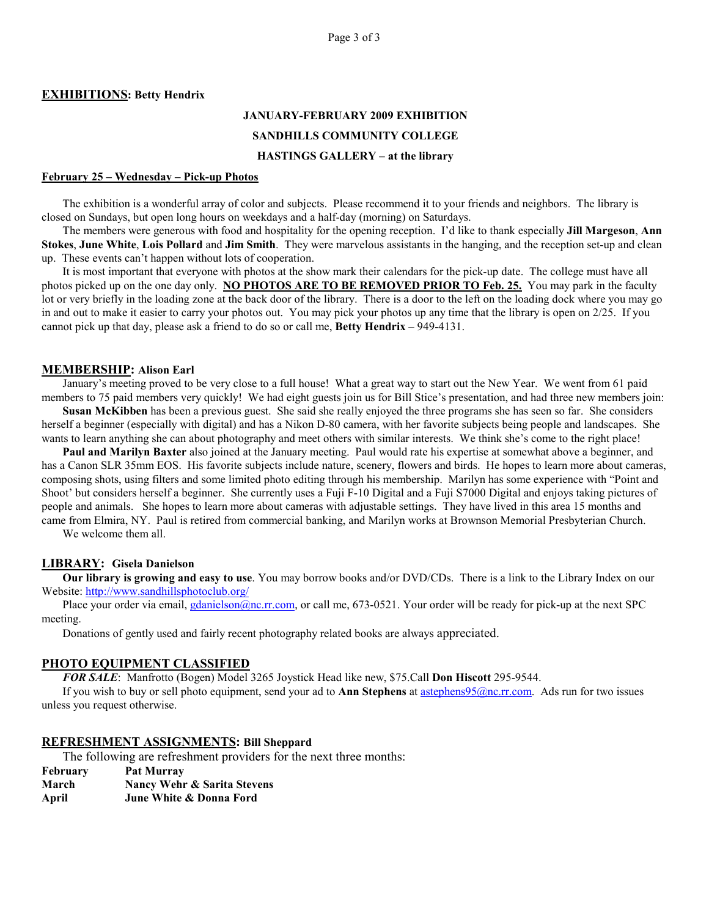#### **EXHIBITIONS: Betty Hendrix**

# **JANUARY-FEBRUARY 2009 EXHIBITION SANDHILLS COMMUNITY COLLEGE HASTINGS GALLERY – at the library**

#### **February 25 – Wednesday – Pick-up Photos**

The exhibition is a wonderful array of color and subjects. Please recommend it to your friends and neighbors. The library is closed on Sundays, but open long hours on weekdays and a half-day (morning) on Saturdays.

The members were generous with food and hospitality for the opening reception. I'd like to thank especially **Jill Margeson**, **Ann Stokes**, **June White**, **Lois Pollard** and **Jim Smith**. They were marvelous assistants in the hanging, and the reception set-up and clean up. These events can't happen without lots of cooperation.

It is most important that everyone with photos at the show mark their calendars for the pick-up date. The college must have all photos picked up on the one day only. **NO PHOTOS ARE TO BE REMOVED PRIOR TO Feb. 25.** You may park in the faculty lot or very briefly in the loading zone at the back door of the library. There is a door to the left on the loading dock where you may go in and out to make it easier to carry your photos out. You may pick your photos up any time that the library is open on 2/25. If you cannot pick up that day, please ask a friend to do so or call me, **Betty Hendrix** – 949-4131.

#### **MEMBERSHIP: Alison Earl**

January's meeting proved to be very close to a full house! What a great way to start out the New Year. We went from 61 paid members to 75 paid members very quickly! We had eight guests join us for Bill Stice's presentation, and had three new members join:

**Susan McKibben** has been a previous guest. She said she really enjoyed the three programs she has seen so far. She considers herself a beginner (especially with digital) and has a Nikon D-80 camera, with her favorite subjects being people and landscapes. She wants to learn anything she can about photography and meet others with similar interests. We think she's come to the right place!

**Paul and Marilyn Baxter** also joined at the January meeting. Paul would rate his expertise at somewhat above a beginner, and has a Canon SLR 35mm EOS. His favorite subjects include nature, scenery, flowers and birds. He hopes to learn more about cameras, composing shots, using filters and some limited photo editing through his membership. Marilyn has some experience with "Point and Shoot' but considers herself a beginner. She currently uses a Fuji F-10 Digital and a Fuji S7000 Digital and enjoys taking pictures of people and animals. She hopes to learn more about cameras with adjustable settings. They have lived in this area 15 months and came from Elmira, NY. Paul is retired from commercial banking, and Marilyn works at Brownson Memorial Presbyterian Church. We welcome them all.

#### **LIBRARY: Gisela Danielson**

**Our library is growing and easy to use**. You may borrow books and/or DVD/CDs. There is a link to the Library Index on our Website: http://www.sandhillsphotoclub.org/

Place your order via email, *gdanielson@nc.rr.com*, or call me, 673-0521. Your order will be ready for pick-up at the next SPC meeting.

Donations of gently used and fairly recent photography related books are always appreciated.

### **PHOTO EQUIPMENT CLASSIFIED**

*FOR SALE*: Manfrotto (Bogen) Model 3265 Joystick Head like new, \$75.Call **Don Hiscott** 295-9544.

If you wish to buy or sell photo equipment, send your ad to **Ann Stephens** at astephens95@nc.rr.com. Ads run for two issues unless you request otherwise.

#### **REFRESHMENT ASSIGNMENTS: Bill Sheppard**

The following are refreshment providers for the next three months:

**February Pat Murray March Nancy Wehr & Sarita Stevens April June White & Donna Ford**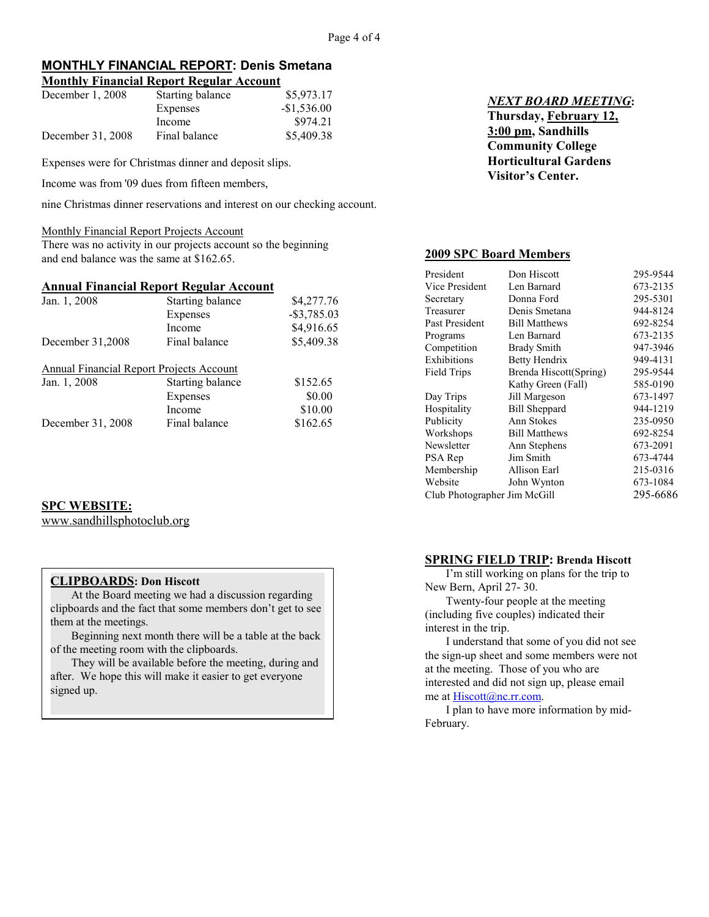#### **MONTHLY FINANCIAL REPORT: Denis Smetana Monthly Financial Report Regular Account**

| <b>NORTH PERMIT IN AND LANGUARY ACCOUNT</b> |                  |              |  |
|---------------------------------------------|------------------|--------------|--|
| December 1, 2008                            | Starting balance | \$5,973.17   |  |
|                                             | Expenses         | $-$1,536.00$ |  |
|                                             | Income           | \$974.21     |  |
| December 31, 2008                           | Final balance    | \$5,409.38   |  |

Expenses were for Christmas dinner and deposit slips.

Income was from '09 dues from fifteen members,

nine Christmas dinner reservations and interest on our checking account.

#### Monthly Financial Report Projects Account

There was no activity in our projects account so the beginning and end balance was the same at \$162.65.

## **Annual Financial Report Regular Account**

| Jan. 1, 2008                             | Starting balance | \$4,277.76     |
|------------------------------------------|------------------|----------------|
|                                          | Expenses         | $-$ \$3,785.03 |
|                                          | Income           | \$4,916.65     |
| December 31,2008                         | Final balance    | \$5,409.38     |
| Annual Financial Report Projects Account |                  |                |
| Jan. 1, 2008                             | Starting balance | \$152.65       |
|                                          | Expenses         | \$0.00         |
|                                          | Income           | \$10.00        |
| December 31, 2008                        | Final balance    | \$162.65       |

## **SPC WEBSITE:**

www.sandhillsphotoclub.org

## **CLIPBOARDS: Don Hiscott**

At the Board meeting we had a discussion regarding clipboards and the fact that some members don't get to see them at the meetings.

Beginning next month there will be a table at the back of the meeting room with the clipboards.

They will be available before the meeting, during and after. We hope this will make it easier to get everyone signed up.

## *NEXT BOARD MEETING***: Thursday, February 12, 3:00 pm, Sandhills Community College Horticultural Gardens Visitor's Center.**

## **2009 SPC Board Members**

| President                    | Don Hiscott            | 295-9544 |
|------------------------------|------------------------|----------|
| Vice President               | Len Barnard            | 673-2135 |
| Secretary                    | Donna Ford             | 295-5301 |
| Treasurer                    | Denis Smetana          | 944-8124 |
| Past President               | <b>Bill Matthews</b>   | 692-8254 |
| Programs                     | Len Barnard            | 673-2135 |
| Competition                  | <b>Brady Smith</b>     | 947-3946 |
| Exhibitions                  | Betty Hendrix          | 949-4131 |
| <b>Field Trips</b>           | Brenda Hiscott(Spring) | 295-9544 |
|                              | Kathy Green (Fall)     | 585-0190 |
| Day Trips                    | Jill Margeson          | 673-1497 |
| Hospitality                  | <b>Bill Sheppard</b>   | 944-1219 |
| Publicity                    | Ann Stokes             | 235-0950 |
| Workshops                    | <b>Bill Matthews</b>   | 692-8254 |
| Newsletter                   | Ann Stephens           | 673-2091 |
| PSA Rep                      | Jim Smith              | 673-4744 |
| Membership                   | Allison Earl           | 215-0316 |
| Website                      | John Wynton            | 673-1084 |
| Club Photographer Jim McGill |                        | 295-6686 |

## **SPRING FIELD TRIP: Brenda Hiscott**

I'm still working on plans for the trip to New Bern, April 27- 30.

Twenty-four people at the meeting (including five couples) indicated their interest in the trip.

I understand that some of you did not see the sign-up sheet and some members were not at the meeting. Those of you who are interested and did not sign up, please email me at Hiscott@nc.rr.com.

I plan to have more information by mid-February.